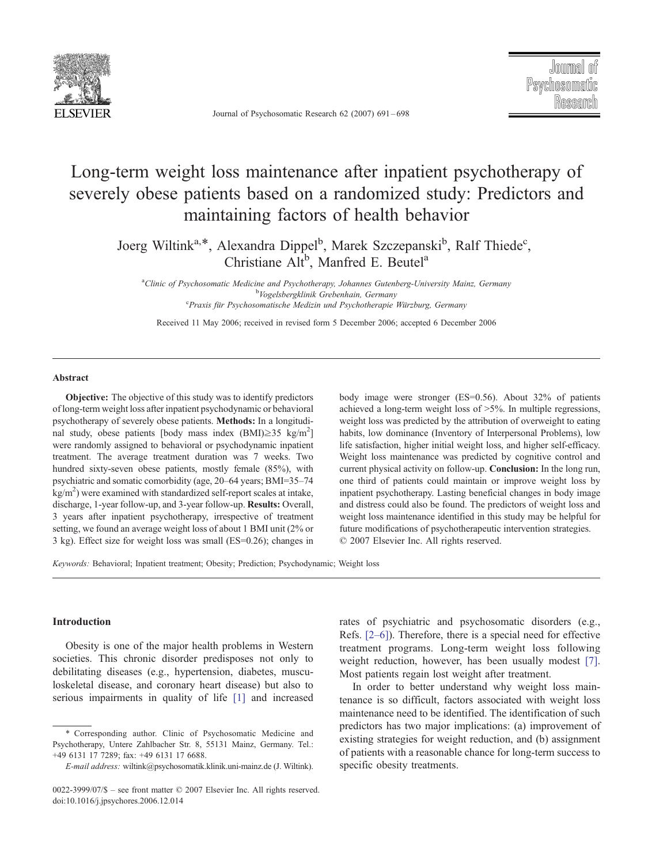

Journal of Psychosomatic Research 62 (2007) 691 – 698

## Long-term weight loss maintenance after inpatient psychotherapy of severely obese patients based on a randomized study: Predictors and maintaining factors of health behavior

Joerg Wiltink<sup>a,\*</sup>, Alexandra Dippel<sup>b</sup>, Marek Szczepanski<sup>b</sup>, Ralf Thiede<sup>c</sup>, Christiane Alt<sup>b</sup>, Manfred E. Beutel<sup>a</sup>

<sup>a</sup>Clinic of Psychosomatic Medicine and Psychotherapy, Johannes Gutenberg-University Mainz, Germany<br><sup>b</sup>Vegalsheveltivit Cychonhain, Cermany <sup>o</sup>Vogelsbergklinik Grebenhain, Germany<br>Praxis für Psychosomatische Medizin und Psychotherapie Würzburg, Germany

Received 11 May 2006; received in revised form 5 December 2006; accepted 6 December 2006

## Abstract

Objective: The objective of this study was to identify predictors of long-term weight loss after inpatient psychodynamic or behavioral psychotherapy of severely obese patients. Methods: In a longitudinal study, obese patients [body mass index  $(BMI) \ge 35$  kg/m<sup>2</sup>] were randomly assigned to behavioral or psychodynamic inpatient treatment. The average treatment duration was 7 weeks. Two hundred sixty-seven obese patients, mostly female (85%), with psychiatric and somatic comorbidity (age, 20–64 years; BMI=35–74  $\text{kg/m}^2$ ) were examined with standardized self-report scales at intake, discharge, 1-year follow-up, and 3-year follow-up. Results: Overall, 3 years after inpatient psychotherapy, irrespective of treatment setting, we found an average weight loss of about 1 BMI unit (2% or 3 kg). Effect size for weight loss was small (ES=0.26); changes in body image were stronger (ES=0.56). About 32% of patients achieved a long-term weight loss of  $>5\%$ . In multiple regressions, weight loss was predicted by the attribution of overweight to eating habits, low dominance (Inventory of Interpersonal Problems), low life satisfaction, higher initial weight loss, and higher self-efficacy. Weight loss maintenance was predicted by cognitive control and current physical activity on follow-up. Conclusion: In the long run, one third of patients could maintain or improve weight loss by inpatient psychotherapy. Lasting beneficial changes in body image and distress could also be found. The predictors of weight loss and weight loss maintenance identified in this study may be helpful for future modifications of psychotherapeutic intervention strategies.  $© 2007 Elsevier Inc. All rights reserved.$ 

Keywords: Behavioral; Inpatient treatment; Obesity; Prediction; Psychodynamic; Weight loss

## Introduction

Obesity is one of the major health problems in Western societies. This chronic disorder predisposes not only to debilitating diseases (e.g., hypertension, diabetes, musculoskeletal disease, and coronary heart disease) but also to serious impairments in quality of life [\[1\]](#page--1-0) and increased rates of psychiatric and psychosomatic disorders (e.g., Refs. [\[2–6\]\)](#page--1-0). Therefore, there is a special need for effective treatment programs. Long-term weight loss following weight reduction, however, has been usually modest [\[7\].](#page--1-0) Most patients regain lost weight after treatment.

In order to better understand why weight loss maintenance is so difficult, factors associated with weight loss maintenance need to be identified. The identification of such predictors has two major implications: (a) improvement of existing strategies for weight reduction, and (b) assignment of patients with a reasonable chance for long-term success to specific obesity treatments.

<sup>4</sup> Corresponding author. Clinic of Psychosomatic Medicine and Psychotherapy, Untere Zahlbacher Str. 8, 55131 Mainz, Germany. Tel.: +49 6131 17 7289; fax: +49 6131 17 6688.

E-mail address: wiltink@psychosomatik.klinik.uni-mainz.de (J. Wiltink).

<sup>0022-3999/07/\$ –</sup> see front matter © 2007 Elsevier Inc. All rights reserved. doi:10.1016/j.jpsychores.2006.12.014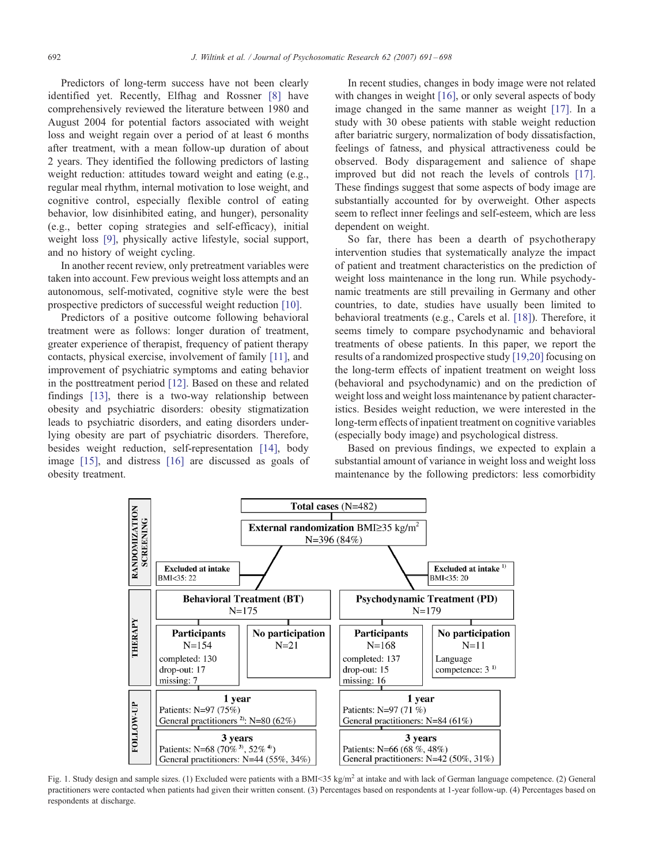Predictors of long-term success have not bee[n c](#page--1-0)learly identified yet. Recently, Elfhag and Rossner [8] have comprehensively reviewed the literature between 1980 and August 2004 for potential factors associated with weight loss and weight regain over a period of at least 6 months after treatment, with a mean follow-up duration of about 2 years. They identified the following predictors of lasting weight reduction: attitudes toward weight and eating (e.g., regular meal rhythm, internal motivation to lose weight, and cognitive control, especially flexible control of eating behavior, low disinhibited eating, and hunger), personality (e.g., better coping strategies and self-efficacy), initial weight loss [\[9\],](#page--1-0) physically active lifestyle, social support, and no history of weight cycling.

In another recent review, only pretreatment variables were taken into account. Few previous weight loss attempts and an autonomous, self-motivated, cognitive style were the best prospective predictors of successful weight reduction [\[10\].](#page--1-0)

Predictors of a positive outcome following behavioral treatment were as follows: longer duration of treatment, greater experience of therapist, frequency of patient therapy contacts, physical exercise, involvement of family [\[11\],](#page--1-0) and improvement of psychiatric symptoms and eating behavior in the posttreatment period [\[12\].](#page--1-0) Based on these and related findings [\[13\],](#page--1-0) there is a two-way relationship between obesity and psychiatric disorders: obesity stigmatization leads to psychiatric disorders, and eating disorders underlying obesity are part of psychiatric disorders. Therefore, besides weight reduction, self-representation [\[14\],](#page--1-0) body image [\[15\],](#page--1-0) and distress [\[16\]](#page--1-0) are discussed as goals of obesity treatment.

In recent studies, changes in body image were not related with changes in weight [\[16\],](#page--1-0) or only several aspects of body image changed in the same manner as weight [\[17\].](#page--1-0) In a study with 30 obese patients with stable weight reduction after bariatric surgery, normalization of body dissatisfaction, feelings of fatness, and physical attractiveness could be observed. Body disparagement and salience of shape improved but did not reach the levels of controls [\[17\].](#page--1-0) These findings suggest that some aspects of body image are substantially accounted for by overweight. Other aspects seem to reflect inner feelings and self-esteem, which are less dependent on weight.

So far, there has been a dearth of psychotherapy intervention studies that systematically analyze the impact of patient and treatment characteristics on the prediction of weight loss maintenance in the long run. While psychodynamic treatments are still prevailing in Germany and other countries, to date, studies have usually been limited to behavioral treatments (e.g., Carels et al. [\[18\]\)](#page--1-0). Therefore, it seems timely to compare psychodynamic and behavioral treatments of obese patients. In this paper, we report the results of a randomized prospective study [\[19,20\]](#page--1-0) focusing on the long-term effects of inpatient treatment on weight loss (behavioral and psychodynamic) and on the prediction of weight loss and weight loss maintenance by patient characteristics. Besides weight reduction, we were interested in the long-term effects of inpatient treatment on cognitive variables (especially body image) and psychological distress.

Based on previous findings, we expected to explain a substantial amount of variance in weight loss and weight loss maintenance by the following predictors: less comorbidity



Fig. 1. Study design and sample sizes. (1) Excluded were patients with a BMI<35 kg/m<sup>2</sup> at intake and with lack of German language competence. (2) General practitioners were contacted when patients had given their written consent. (3) Percentages based on respondents at 1-year follow-up. (4) Percentages based on respondents at discharge.